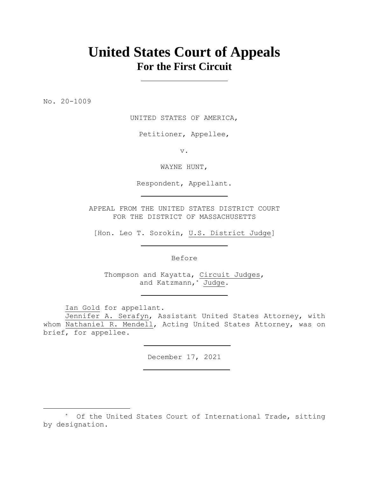# **United States Court of Appeals For the First Circuit**

No. 20-1009

UNITED STATES OF AMERICA,

Petitioner, Appellee,

v.

WAYNE HUNT,

Respondent, Appellant.

APPEAL FROM THE UNITED STATES DISTRICT COURT FOR THE DISTRICT OF MASSACHUSETTS

[Hon. Leo T. Sorokin, U.S. District Judge]

Before

Thompson and Kayatta, Circuit Judges, and Katzmann,\* Judge.

Ian Gold for appellant.

Jennifer A. Serafyn, Assistant United States Attorney, with whom Nathaniel R. Mendell, Acting United States Attorney, was on brief, for appellee.

December 17, 2021

<sup>\*</sup> Of the United States Court of International Trade, sitting by designation.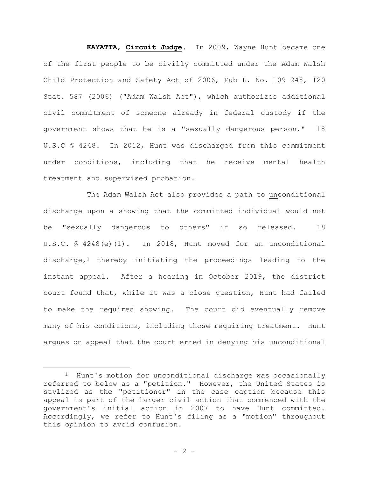**KAYATTA**, **Circuit Judge**. In 2009, Wayne Hunt became one of the first people to be civilly committed under the Adam Walsh Child Protection and Safety Act of 2006, Pub L. No. 109–248, 120 Stat. 587 (2006) ("Adam Walsh Act"), which authorizes additional civil commitment of someone already in federal custody if the government shows that he is a "sexually dangerous person." 18 U.S.C § 4248. In 2012, Hunt was discharged from this commitment under conditions, including that he receive mental health treatment and supervised probation.

The Adam Walsh Act also provides a path to unconditional discharge upon a showing that the committed individual would not be "sexually dangerous to others" if so released. 18 U.S.C. § 4248(e)(1). In 2018, Hunt moved for an unconditional discharge, $1$  thereby initiating the proceedings leading to the instant appeal. After a hearing in October 2019, the district court found that, while it was a close question, Hunt had failed to make the required showing. The court did eventually remove many of his conditions, including those requiring treatment. Hunt argues on appeal that the court erred in denying his unconditional

<sup>1</sup> Hunt's motion for unconditional discharge was occasionally referred to below as a "petition." However, the United States is stylized as the "petitioner" in the case caption because this appeal is part of the larger civil action that commenced with the government's initial action in 2007 to have Hunt committed. Accordingly, we refer to Hunt's filing as a "motion" throughout this opinion to avoid confusion.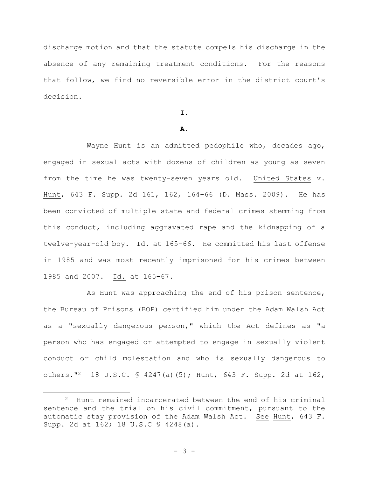discharge motion and that the statute compels his discharge in the absence of any remaining treatment conditions. For the reasons that follow, we find no reversible error in the district court's decision.

#### **I.**

# **A.**

Wayne Hunt is an admitted pedophile who, decades ago, engaged in sexual acts with dozens of children as young as seven from the time he was twenty-seven years old. United States v. Hunt, 643 F. Supp. 2d 161, 162, 164–66 (D. Mass. 2009). He has been convicted of multiple state and federal crimes stemming from this conduct, including aggravated rape and the kidnapping of a twelve-year-old boy. Id. at 165–66. He committed his last offense in 1985 and was most recently imprisoned for his crimes between 1985 and 2007. Id. at 165–67.

As Hunt was approaching the end of his prison sentence, the Bureau of Prisons (BOP) certified him under the Adam Walsh Act as a "sexually dangerous person," which the Act defines as "a person who has engaged or attempted to engage in sexually violent conduct or child molestation and who is sexually dangerous to others."2 18 U.S.C. § 4247(a)(5); Hunt, 643 F. Supp. 2d at 162,

<sup>2</sup> Hunt remained incarcerated between the end of his criminal sentence and the trial on his civil commitment, pursuant to the automatic stay provision of the Adam Walsh Act. See Hunt, 643 F. Supp. 2d at 162; 18 U.S.C § 4248(a).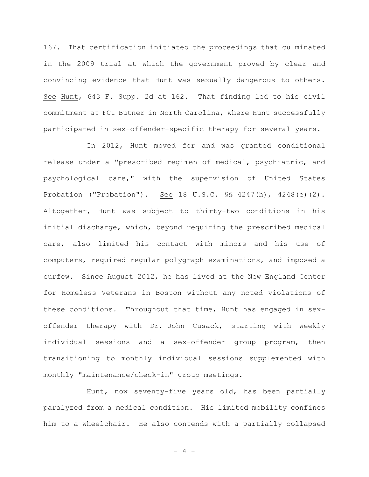167. That certification initiated the proceedings that culminated in the 2009 trial at which the government proved by clear and convincing evidence that Hunt was sexually dangerous to others. See Hunt, 643 F. Supp. 2d at 162. That finding led to his civil commitment at FCI Butner in North Carolina, where Hunt successfully participated in sex-offender-specific therapy for several years.

In 2012, Hunt moved for and was granted conditional release under a "prescribed regimen of medical, psychiatric, and psychological care," with the supervision of United States Probation ("Probation"). See 18 U.S.C. §§ 4247(h), 4248(e)(2). Altogether, Hunt was subject to thirty-two conditions in his initial discharge, which, beyond requiring the prescribed medical care, also limited his contact with minors and his use of computers, required regular polygraph examinations, and imposed a curfew. Since August 2012, he has lived at the New England Center for Homeless Veterans in Boston without any noted violations of these conditions. Throughout that time, Hunt has engaged in sexoffender therapy with Dr. John Cusack, starting with weekly individual sessions and a sex-offender group program, then transitioning to monthly individual sessions supplemented with monthly "maintenance/check-in" group meetings.

Hunt, now seventy-five years old, has been partially paralyzed from a medical condition. His limited mobility confines him to a wheelchair. He also contends with a partially collapsed

- 4 -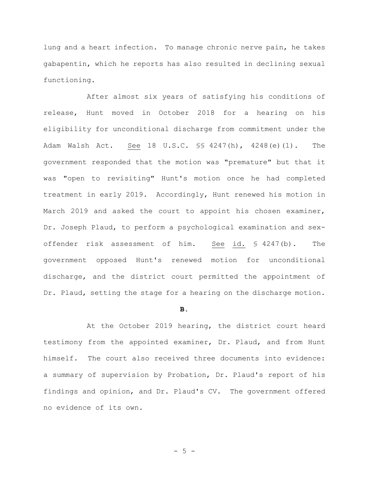lung and a heart infection. To manage chronic nerve pain, he takes gabapentin, which he reports has also resulted in declining sexual functioning.

After almost six years of satisfying his conditions of release, Hunt moved in October 2018 for a hearing on his eligibility for unconditional discharge from commitment under the Adam Walsh Act. See 18 U.S.C. §§ 4247(h), 4248(e)(1). The government responded that the motion was "premature" but that it was "open to revisiting" Hunt's motion once he had completed treatment in early 2019. Accordingly, Hunt renewed his motion in March 2019 and asked the court to appoint his chosen examiner, Dr. Joseph Plaud, to perform a psychological examination and sexoffender risk assessment of him. See id. § 4247(b). The government opposed Hunt's renewed motion for unconditional discharge, and the district court permitted the appointment of Dr. Plaud, setting the stage for a hearing on the discharge motion.

#### **B.**

At the October 2019 hearing, the district court heard testimony from the appointed examiner, Dr. Plaud, and from Hunt himself. The court also received three documents into evidence: a summary of supervision by Probation, Dr. Plaud's report of his findings and opinion, and Dr. Plaud's CV. The government offered no evidence of its own.

 $- 5 -$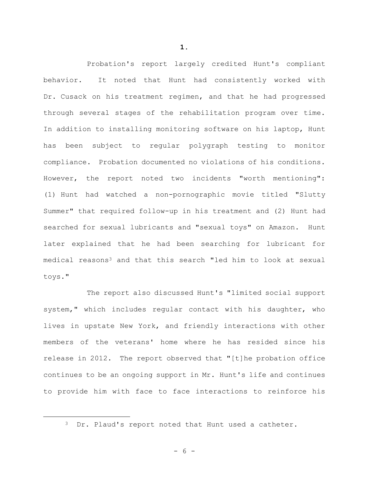Probation's report largely credited Hunt's compliant behavior. It noted that Hunt had consistently worked with Dr. Cusack on his treatment regimen, and that he had progressed through several stages of the rehabilitation program over time. In addition to installing monitoring software on his laptop, Hunt has been subject to regular polygraph testing to monitor compliance. Probation documented no violations of his conditions. However, the report noted two incidents "worth mentioning": (1) Hunt had watched a non-pornographic movie titled "Slutty Summer" that required follow-up in his treatment and (2) Hunt had searched for sexual lubricants and "sexual toys" on Amazon. Hunt later explained that he had been searching for lubricant for medical reasons<sup>3</sup> and that this search "led him to look at sexual toys."

The report also discussed Hunt's "limited social support system," which includes regular contact with his daughter, who lives in upstate New York, and friendly interactions with other members of the veterans' home where he has resided since his release in 2012. The report observed that "[t]he probation office continues to be an ongoing support in Mr. Hunt's life and continues to provide him with face to face interactions to reinforce his

**1.**

<sup>&</sup>lt;sup>3</sup> Dr. Plaud's report noted that Hunt used a catheter.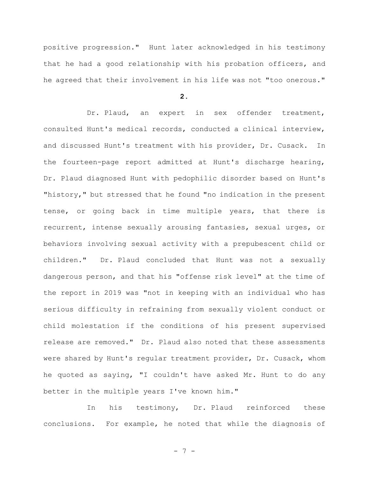positive progression." Hunt later acknowledged in his testimony that he had a good relationship with his probation officers, and he agreed that their involvement in his life was not "too onerous."

**2.**

Dr. Plaud, an expert in sex offender treatment, consulted Hunt's medical records, conducted a clinical interview, and discussed Hunt's treatment with his provider, Dr. Cusack. In the fourteen-page report admitted at Hunt's discharge hearing, Dr. Plaud diagnosed Hunt with pedophilic disorder based on Hunt's "history," but stressed that he found "no indication in the present tense, or going back in time multiple years, that there is recurrent, intense sexually arousing fantasies, sexual urges, or behaviors involving sexual activity with a prepubescent child or children." Dr. Plaud concluded that Hunt was not a sexually dangerous person, and that his "offense risk level" at the time of the report in 2019 was "not in keeping with an individual who has serious difficulty in refraining from sexually violent conduct or child molestation if the conditions of his present supervised release are removed." Dr. Plaud also noted that these assessments were shared by Hunt's regular treatment provider, Dr. Cusack, whom he quoted as saying, "I couldn't have asked Mr. Hunt to do any better in the multiple years I've known him."

In his testimony, Dr. Plaud reinforced these conclusions. For example, he noted that while the diagnosis of

- 7 -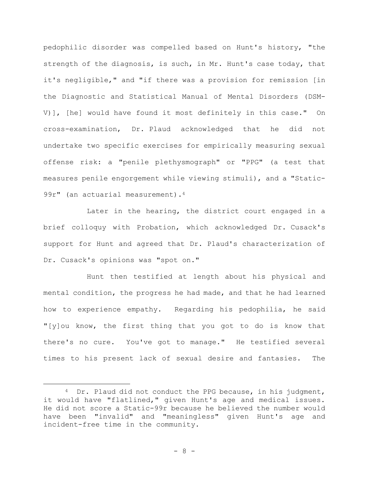pedophilic disorder was compelled based on Hunt's history, "the strength of the diagnosis, is such, in Mr. Hunt's case today, that it's negligible," and "if there was a provision for remission [in the Diagnostic and Statistical Manual of Mental Disorders (DSM-V)], [he] would have found it most definitely in this case." On cross-examination, Dr. Plaud acknowledged that he did not undertake two specific exercises for empirically measuring sexual offense risk: a "penile plethysmograph" or "PPG" (a test that measures penile engorgement while viewing stimuli), and a "Static-99r" (an actuarial measurement).<sup>4</sup>

Later in the hearing, the district court engaged in a brief colloquy with Probation, which acknowledged Dr. Cusack's support for Hunt and agreed that Dr. Plaud's characterization of Dr. Cusack's opinions was "spot on."

Hunt then testified at length about his physical and mental condition, the progress he had made, and that he had learned how to experience empathy. Regarding his pedophilia, he said "[y]ou know, the first thing that you got to do is know that there's no cure. You've got to manage." He testified several times to his present lack of sexual desire and fantasies. The

<sup>&</sup>lt;sup>4</sup> Dr. Plaud did not conduct the PPG because, in his judgment, it would have "flatlined," given Hunt's age and medical issues. He did not score a Static-99r because he believed the number would have been "invalid" and "meaningless" given Hunt's age and incident-free time in the community.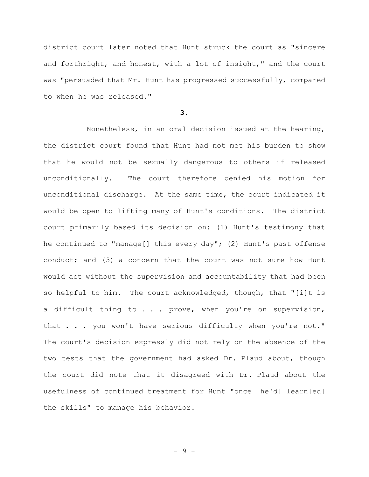district court later noted that Hunt struck the court as "sincere and forthright, and honest, with a lot of insight," and the court was "persuaded that Mr. Hunt has progressed successfully, compared to when he was released."

**3.** 

Nonetheless, in an oral decision issued at the hearing, the district court found that Hunt had not met his burden to show that he would not be sexually dangerous to others if released unconditionally. The court therefore denied his motion for unconditional discharge. At the same time, the court indicated it would be open to lifting many of Hunt's conditions. The district court primarily based its decision on: (1) Hunt's testimony that he continued to "manage[] this every day"; (2) Hunt's past offense conduct; and (3) a concern that the court was not sure how Hunt would act without the supervision and accountability that had been so helpful to him. The court acknowledged, though, that "[i]t is a difficult thing to . . . prove, when you're on supervision, that . . . you won't have serious difficulty when you're not." The court's decision expressly did not rely on the absence of the two tests that the government had asked Dr. Plaud about, though the court did note that it disagreed with Dr. Plaud about the usefulness of continued treatment for Hunt "once [he'd] learn[ed] the skills" to manage his behavior.

- 9 -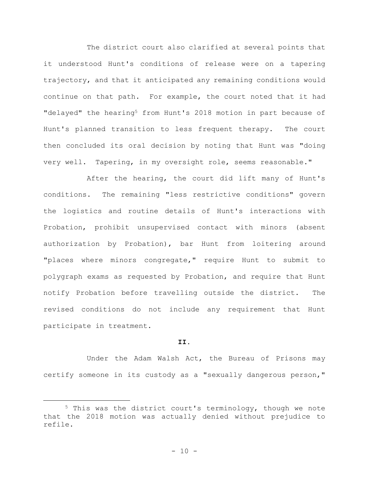The district court also clarified at several points that it understood Hunt's conditions of release were on a tapering trajectory, and that it anticipated any remaining conditions would continue on that path. For example, the court noted that it had "delayed" the hearing<sup>5</sup> from Hunt's 2018 motion in part because of Hunt's planned transition to less frequent therapy. The court then concluded its oral decision by noting that Hunt was "doing very well. Tapering, in my oversight role, seems reasonable."

After the hearing, the court did lift many of Hunt's conditions. The remaining "less restrictive conditions" govern the logistics and routine details of Hunt's interactions with Probation, prohibit unsupervised contact with minors (absent authorization by Probation), bar Hunt from loitering around "places where minors congregate," require Hunt to submit to polygraph exams as requested by Probation, and require that Hunt notify Probation before travelling outside the district. The revised conditions do not include any requirement that Hunt participate in treatment.

#### **II.**

Under the Adam Walsh Act, the Bureau of Prisons may certify someone in its custody as a "sexually dangerous person,"

<sup>5</sup> This was the district court's terminology, though we note that the 2018 motion was actually denied without prejudice to refile.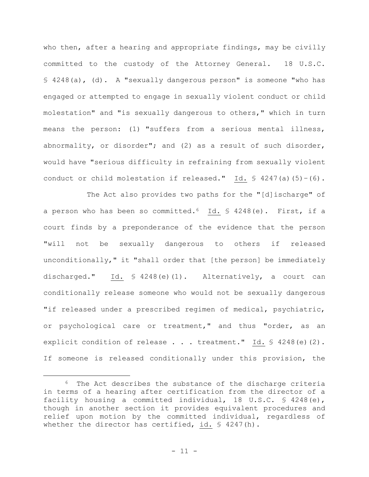who then, after a hearing and appropriate findings, may be civilly committed to the custody of the Attorney General. 18 U.S.C. § 4248(a), (d). A "sexually dangerous person" is someone "who has engaged or attempted to engage in sexually violent conduct or child molestation" and "is sexually dangerous to others," which in turn means the person: (1) "suffers from a serious mental illness, abnormality, or disorder"; and (2) as a result of such disorder, would have "serious difficulty in refraining from sexually violent conduct or child molestation if released." Id.  $$ 4247(a) (5)-(6)$ .

The Act also provides two paths for the "[d]ischarge" of a person who has been so committed.6 Id. § 4248(e). First, if a court finds by a preponderance of the evidence that the person "will not be sexually dangerous to others if released unconditionally," it "shall order that [the person] be immediately discharged." Id. § 4248(e)(1). Alternatively, a court can conditionally release someone who would not be sexually dangerous "if released under a prescribed regimen of medical, psychiatric, or psychological care or treatment," and thus "order, as an explicit condition of release . . . treatment." Id. § 4248(e)(2). If someone is released conditionally under this provision, the

<sup>&</sup>lt;sup>6</sup> The Act describes the substance of the discharge criteria in terms of a hearing after certification from the director of a facility housing a committed individual, 18 U.S.C. § 4248(e), though in another section it provides equivalent procedures and relief upon motion by the committed individual, regardless of whether the director has certified, id. § 4247(h).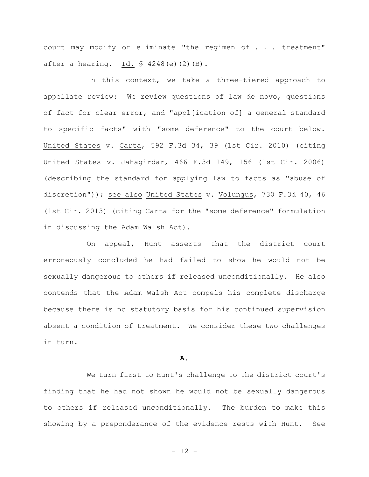court may modify or eliminate "the regimen of . . . treatment" after a hearing. Id. § 4248(e)(2)(B).

In this context, we take a three-tiered approach to appellate review: We review questions of law de novo, questions of fact for clear error, and "appl[ication of] a general standard to specific facts" with "some deference" to the court below. United States v. Carta, 592 F.3d 34, 39 (1st Cir. 2010) (citing United States v. Jahagirdar, 466 F.3d 149, 156 (1st Cir. 2006) (describing the standard for applying law to facts as "abuse of discretion")); see also United States v. Volungus, 730 F.3d 40, 46 (1st Cir. 2013) (citing Carta for the "some deference" formulation in discussing the Adam Walsh Act).

On appeal, Hunt asserts that the district court erroneously concluded he had failed to show he would not be sexually dangerous to others if released unconditionally. He also contends that the Adam Walsh Act compels his complete discharge because there is no statutory basis for his continued supervision absent a condition of treatment. We consider these two challenges in turn.

## **A.**

We turn first to Hunt's challenge to the district court's finding that he had not shown he would not be sexually dangerous to others if released unconditionally. The burden to make this showing by a preponderance of the evidence rests with Hunt. See

- 12 -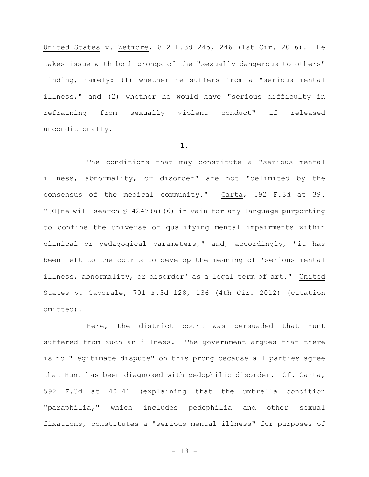United States v. Wetmore, 812 F.3d 245, 246 (1st Cir. 2016). He takes issue with both prongs of the "sexually dangerous to others" finding, namely: (1) whether he suffers from a "serious mental illness," and (2) whether he would have "serious difficulty in refraining from sexually violent conduct" if released unconditionally.

#### **1.**

The conditions that may constitute a "serious mental illness, abnormality, or disorder" are not "delimited by the consensus of the medical community." Carta, 592 F.3d at 39. "[O]ne will search  $\frac{6}{7}$  4247(a)(6) in vain for any language purporting to confine the universe of qualifying mental impairments within clinical or pedagogical parameters," and, accordingly, "it has been left to the courts to develop the meaning of 'serious mental illness, abnormality, or disorder' as a legal term of art." United States v. Caporale, 701 F.3d 128, 136 (4th Cir. 2012) (citation omitted).

Here, the district court was persuaded that Hunt suffered from such an illness. The government argues that there is no "legitimate dispute" on this prong because all parties agree that Hunt has been diagnosed with pedophilic disorder. Cf. Carta, 592 F.3d at 40–41 (explaining that the umbrella condition "paraphilia," which includes pedophilia and other sexual fixations, constitutes a "serious mental illness" for purposes of

- 13 -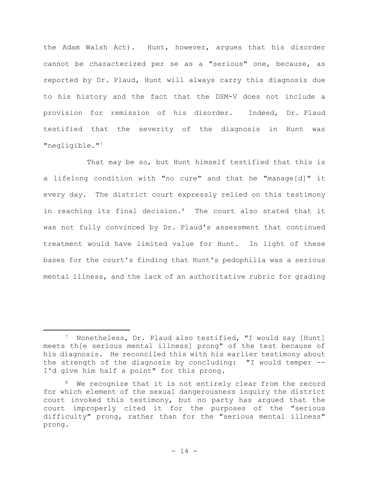the Adam Walsh Act). Hunt, however, argues that his disorder cannot be characterized per se as a "serious" one, because, as reported by Dr. Plaud, Hunt will always carry this diagnosis due to his history and the fact that the DSM-V does not include a provision for remission of his disorder. Indeed, Dr. Plaud testified that the severity of the diagnosis in Hunt was "negligible."<sup>7</sup>

That may be so, but Hunt himself testified that this is a lifelong condition with "no cure" and that he "manage[d]" it every day. The district court expressly relied on this testimony in reaching its final decision.<sup>8</sup> The court also stated that it was not fully convinced by Dr. Plaud's assessment that continued treatment would have limited value for Hunt. In light of these bases for the court's finding that Hunt's pedophilia was a serious mental illness, and the lack of an authoritative rubric for grading

<sup>7</sup> Nonetheless, Dr. Plaud also testified, "I would say [Hunt] meets th[e serious mental illness] prong" of the test because of his diagnosis. He reconciled this with his earlier testimony about the strength of the diagnosis by concluding: "I would temper -- I'd give him half a point" for this prong.

<sup>&</sup>lt;sup>8</sup> We recognize that it is not entirely clear from the record for which element of the sexual dangerousness inquiry the district court invoked this testimony, but no party has argued that the court improperly cited it for the purposes of the "serious difficulty" prong, rather than for the "serious mental illness" prong.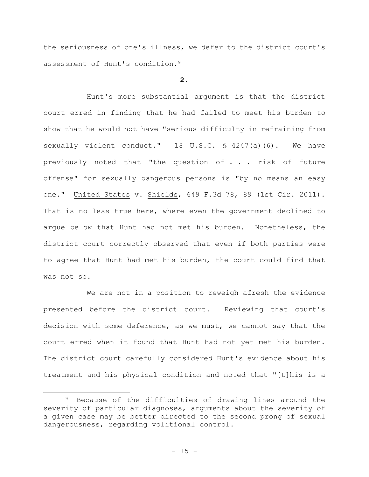the seriousness of one's illness, we defer to the district court's assessment of Hunt's condition.<sup>9</sup>

# **2.**

Hunt's more substantial argument is that the district court erred in finding that he had failed to meet his burden to show that he would not have "serious difficulty in refraining from sexually violent conduct." 18 U.S.C. § 4247(a)(6). We have previously noted that "the question of . . . risk of future offense" for sexually dangerous persons is "by no means an easy one." United States v. Shields, 649 F.3d 78, 89 (1st Cir. 2011). That is no less true here, where even the government declined to argue below that Hunt had not met his burden. Nonetheless, the district court correctly observed that even if both parties were to agree that Hunt had met his burden, the court could find that was not so.

We are not in a position to reweigh afresh the evidence presented before the district court. Reviewing that court's decision with some deference, as we must, we cannot say that the court erred when it found that Hunt had not yet met his burden. The district court carefully considered Hunt's evidence about his treatment and his physical condition and noted that "[t]his is a

<sup>&</sup>lt;sup>9</sup> Because of the difficulties of drawing lines around the severity of particular diagnoses, arguments about the severity of a given case may be better directed to the second prong of sexual dangerousness, regarding volitional control.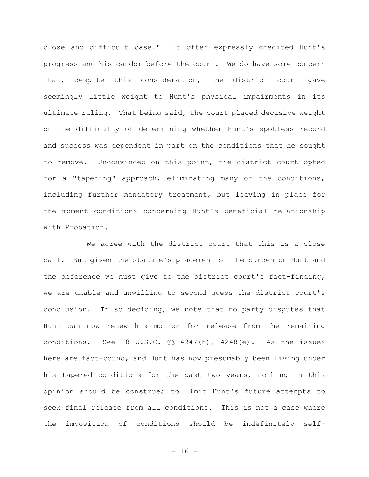close and difficult case." It often expressly credited Hunt's progress and his candor before the court. We do have some concern that, despite this consideration, the district court gave seemingly little weight to Hunt's physical impairments in its ultimate ruling. That being said, the court placed decisive weight on the difficulty of determining whether Hunt's spotless record and success was dependent in part on the conditions that he sought to remove. Unconvinced on this point, the district court opted for a "tapering" approach, eliminating many of the conditions, including further mandatory treatment, but leaving in place for the moment conditions concerning Hunt's beneficial relationship with Probation.

We agree with the district court that this is a close call. But given the statute's placement of the burden on Hunt and the deference we must give to the district court's fact-finding, we are unable and unwilling to second guess the district court's conclusion. In so deciding, we note that no party disputes that Hunt can now renew his motion for release from the remaining conditions. See 18 U.S.C. §§ 4247(h), 4248(e). As the issues here are fact-bound, and Hunt has now presumably been living under his tapered conditions for the past two years, nothing in this opinion should be construed to limit Hunt's future attempts to seek final release from all conditions. This is not a case where the imposition of conditions should be indefinitely self-

 $- 16 -$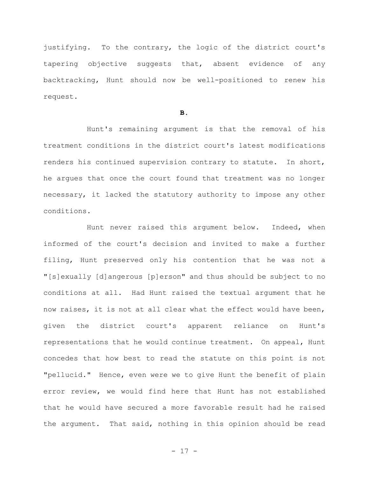justifying. To the contrary, the logic of the district court's tapering objective suggests that, absent evidence of any backtracking, Hunt should now be well-positioned to renew his request.

#### **B.**

Hunt's remaining argument is that the removal of his treatment conditions in the district court's latest modifications renders his continued supervision contrary to statute. In short, he argues that once the court found that treatment was no longer necessary, it lacked the statutory authority to impose any other conditions.

Hunt never raised this argument below. Indeed, when informed of the court's decision and invited to make a further filing, Hunt preserved only his contention that he was not a "[s]exually [d]angerous [p]erson" and thus should be subject to no conditions at all. Had Hunt raised the textual argument that he now raises, it is not at all clear what the effect would have been, given the district court's apparent reliance on Hunt's representations that he would continue treatment. On appeal, Hunt concedes that how best to read the statute on this point is not "pellucid." Hence, even were we to give Hunt the benefit of plain error review, we would find here that Hunt has not established that he would have secured a more favorable result had he raised the argument. That said, nothing in this opinion should be read

- 17 -